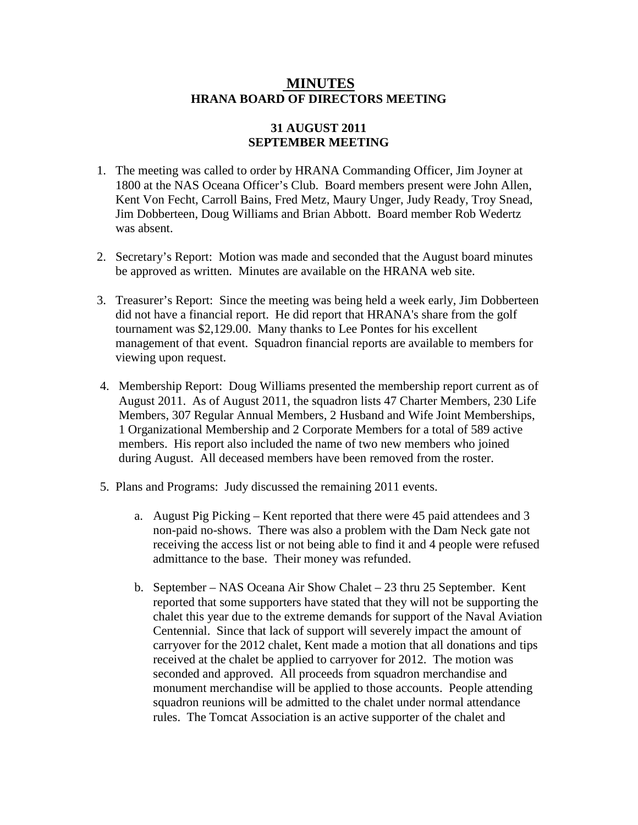## **MINUTES HRANA BOARD OF DIRECTORS MEETING**

## **31 AUGUST 2011 SEPTEMBER MEETING**

- 1. The meeting was called to order by HRANA Commanding Officer, Jim Joyner at 1800 at the NAS Oceana Officer's Club. Board members present were John Allen, Kent Von Fecht, Carroll Bains, Fred Metz, Maury Unger, Judy Ready, Troy Snead, Jim Dobberteen, Doug Williams and Brian Abbott. Board member Rob Wedertz was absent.
- 2. Secretary's Report: Motion was made and seconded that the August board minutes be approved as written. Minutes are available on the HRANA web site.
- 3. Treasurer's Report: Since the meeting was being held a week early, Jim Dobberteen did not have a financial report. He did report that HRANA's share from the golf tournament was \$2,129.00. Many thanks to Lee Pontes for his excellent management of that event. Squadron financial reports are available to members for viewing upon request.
- 4. Membership Report: Doug Williams presented the membership report current as of August 2011. As of August 2011, the squadron lists 47 Charter Members, 230 Life Members, 307 Regular Annual Members, 2 Husband and Wife Joint Memberships, 1 Organizational Membership and 2 Corporate Members for a total of 589 active members. His report also included the name of two new members who joined during August. All deceased members have been removed from the roster.
- 5. Plans and Programs: Judy discussed the remaining 2011 events.
	- a. August Pig Picking Kent reported that there were 45 paid attendees and 3 non-paid no-shows. There was also a problem with the Dam Neck gate not receiving the access list or not being able to find it and 4 people were refused admittance to the base. Their money was refunded.
	- b. September NAS Oceana Air Show Chalet 23 thru 25 September. Kent reported that some supporters have stated that they will not be supporting the chalet this year due to the extreme demands for support of the Naval Aviation Centennial. Since that lack of support will severely impact the amount of carryover for the 2012 chalet, Kent made a motion that all donations and tips received at the chalet be applied to carryover for 2012. The motion was seconded and approved. All proceeds from squadron merchandise and monument merchandise will be applied to those accounts. People attending squadron reunions will be admitted to the chalet under normal attendance rules. The Tomcat Association is an active supporter of the chalet and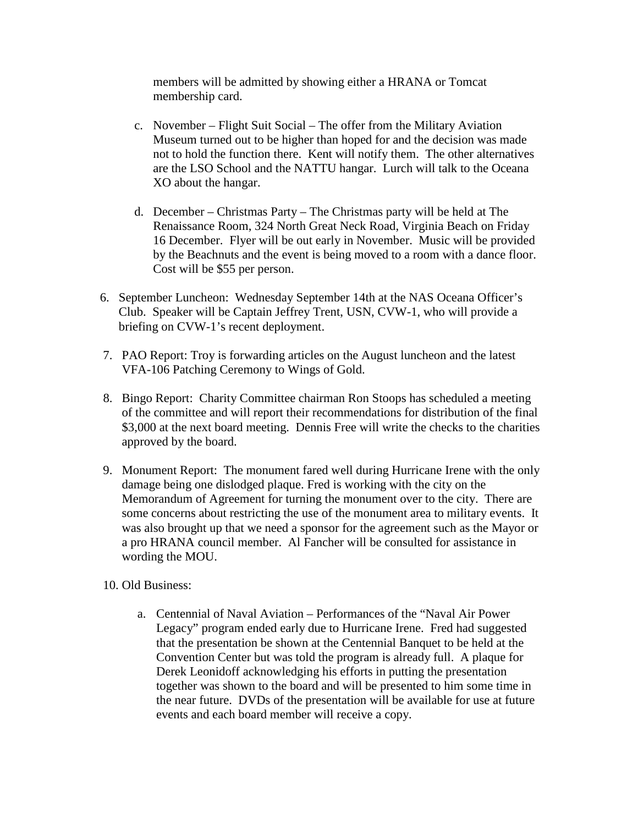members will be admitted by showing either a HRANA or Tomcat membership card.

- c. November Flight Suit Social The offer from the Military Aviation Museum turned out to be higher than hoped for and the decision was made not to hold the function there. Kent will notify them. The other alternatives are the LSO School and the NATTU hangar. Lurch will talk to the Oceana XO about the hangar.
- d. December Christmas Party The Christmas party will be held at The Renaissance Room, 324 North Great Neck Road, Virginia Beach on Friday 16 December. Flyer will be out early in November. Music will be provided by the Beachnuts and the event is being moved to a room with a dance floor. Cost will be \$55 per person.
- 6. September Luncheon: Wednesday September 14th at the NAS Oceana Officer's Club. Speaker will be Captain Jeffrey Trent, USN, CVW-1, who will provide a briefing on CVW-1's recent deployment.
- 7. PAO Report: Troy is forwarding articles on the August luncheon and the latest VFA-106 Patching Ceremony to Wings of Gold.
- 8. Bingo Report: Charity Committee chairman Ron Stoops has scheduled a meeting of the committee and will report their recommendations for distribution of the final \$3,000 at the next board meeting. Dennis Free will write the checks to the charities approved by the board.
- 9. Monument Report: The monument fared well during Hurricane Irene with the only damage being one dislodged plaque. Fred is working with the city on the Memorandum of Agreement for turning the monument over to the city. There are some concerns about restricting the use of the monument area to military events. It was also brought up that we need a sponsor for the agreement such as the Mayor or a pro HRANA council member. Al Fancher will be consulted for assistance in wording the MOU.
- 10. Old Business:
	- a. Centennial of Naval Aviation Performances of the "Naval Air Power Legacy" program ended early due to Hurricane Irene. Fred had suggested that the presentation be shown at the Centennial Banquet to be held at the Convention Center but was told the program is already full. A plaque for Derek Leonidoff acknowledging his efforts in putting the presentation together was shown to the board and will be presented to him some time in the near future. DVDs of the presentation will be available for use at future events and each board member will receive a copy.